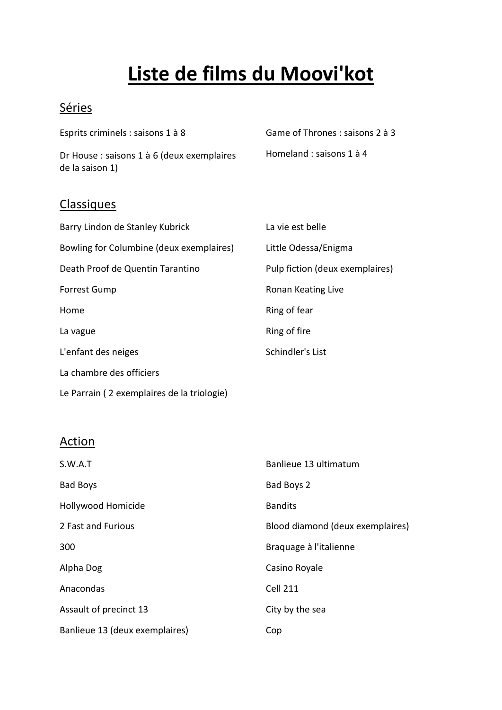# **Liste de films du Moovi'kot**

### **Séries**

Esprits criminels : saisons 1 à 8

Dr House : saisons 1 à 6 (deux exemplaires de la saison 1)

Game of Thrones : saisons 2 à 3

Homeland : saisons 1 à 4

## **Classiques**

| Barry Lindon de Stanley Kubrick            | La vie est belle                |
|--------------------------------------------|---------------------------------|
| Bowling for Columbine (deux exemplaires)   | Little Odessa/Enigma            |
| Death Proof de Quentin Tarantino           | Pulp fiction (deux exemplaires) |
| <b>Forrest Gump</b>                        | Ronan Keating Live              |
| Home                                       | Ring of fear                    |
| La vague                                   | Ring of fire                    |
| L'enfant des neiges                        | Schindler's List                |
| La chambre des officiers                   |                                 |
| Le Parrain (2 exemplaires de la triologie) |                                 |

# Action

| S.W.A.T                        | Banlieue 13 ultimatum            |
|--------------------------------|----------------------------------|
| <b>Bad Boys</b>                | Bad Boys 2                       |
| Hollywood Homicide             | <b>Bandits</b>                   |
| 2 Fast and Furious             | Blood diamond (deux exemplaires) |
| 300                            | Braguage à l'italienne           |
| Alpha Dog                      | Casino Royale                    |
| Anacondas                      | <b>Cell 211</b>                  |
| Assault of precinct 13         | City by the sea                  |
| Banlieue 13 (deux exemplaires) | Cop                              |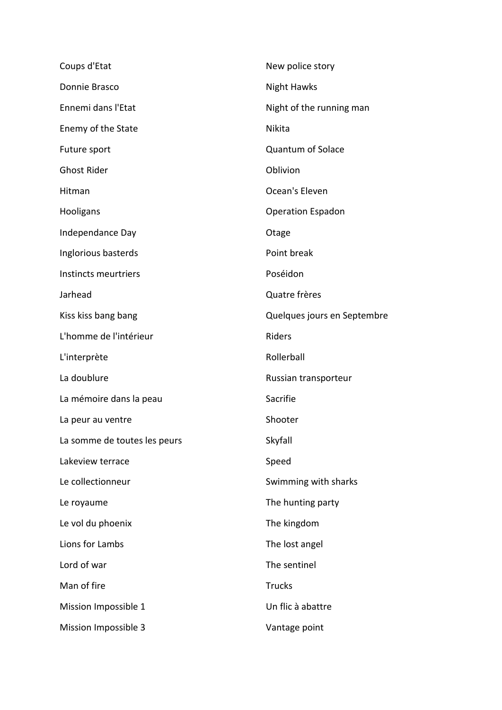| Coups d'Etat                 | New police story            |
|------------------------------|-----------------------------|
| Donnie Brasco                | <b>Night Hawks</b>          |
| Ennemi dans l'Etat           | Night of the running man    |
| Enemy of the State           | Nikita                      |
| Future sport                 | <b>Quantum of Solace</b>    |
| <b>Ghost Rider</b>           | Oblivion                    |
| Hitman                       | Ocean's Eleven              |
| Hooligans                    | <b>Operation Espadon</b>    |
| Independance Day             | Otage                       |
| Inglorious basterds          | Point break                 |
| Instincts meurtriers         | Poséidon                    |
| Jarhead                      | Quatre frères               |
| Kiss kiss bang bang          | Quelques jours en Septembre |
| L'homme de l'intérieur       | Riders                      |
| L'interprète                 | Rollerball                  |
| La doublure                  | Russian transporteur        |
| La mémoire dans la peau      | Sacrifie                    |
| La peur au ventre            | Shooter                     |
| La somme de toutes les peurs | Skyfall                     |
| Lakeview terrace             | Speed                       |
| Le collectionneur            | Swimming with sharks        |
| Le royaume                   | The hunting party           |
| Le vol du phoenix            | The kingdom                 |
| Lions for Lambs              | The lost angel              |
| Lord of war                  | The sentinel                |
| Man of fire                  | <b>Trucks</b>               |
| Mission Impossible 1         | Un flic à abattre           |
| Mission Impossible 3         | Vantage point               |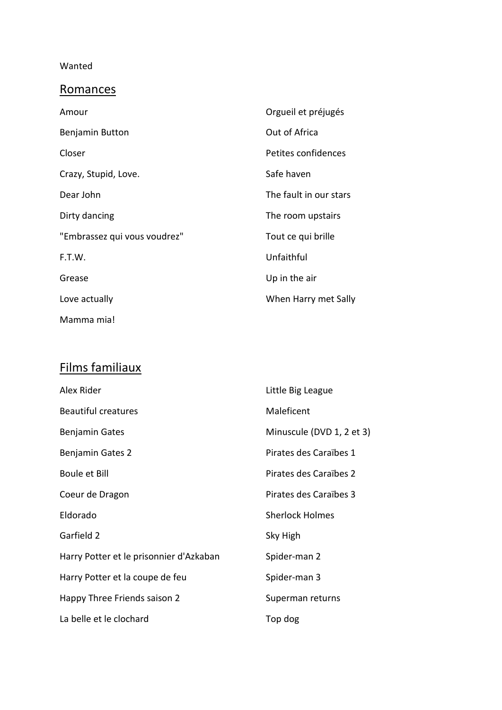#### Wanted

## **Romances**

| Amour                        | Orgueil et préjugés    |
|------------------------------|------------------------|
| Benjamin Button              | Out of Africa          |
| Closer                       | Petites confidences    |
| Crazy, Stupid, Love.         | Safe haven             |
| Dear John                    | The fault in our stars |
| Dirty dancing                | The room upstairs      |
| "Embrassez qui vous voudrez" | Tout ce qui brille     |
| F.T.W.                       | Unfaithful             |
| Grease                       | Up in the air          |
| Love actually                | When Harry met Sally   |
| Mamma mia!                   |                        |

# Films familiaux

| Alex Rider                              | Little Big League         |
|-----------------------------------------|---------------------------|
| <b>Beautiful creatures</b>              | Maleficent                |
| <b>Benjamin Gates</b>                   | Minuscule (DVD 1, 2 et 3) |
| Benjamin Gates 2                        | Pirates des Caraïbes 1    |
| <b>Boule et Bill</b>                    | Pirates des Caraïbes 2    |
| Coeur de Dragon                         | Pirates des Caraïbes 3    |
| Eldorado                                | <b>Sherlock Holmes</b>    |
| Garfield 2                              | Sky High                  |
| Harry Potter et le prisonnier d'Azkaban | Spider-man 2              |
| Harry Potter et la coupe de feu         | Spider-man 3              |
| Happy Three Friends saison 2            | Superman returns          |
| La belle et le clochard                 | Top dog                   |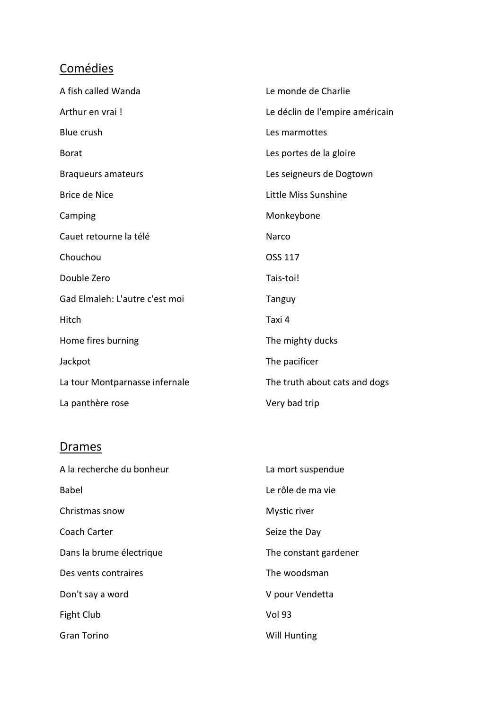# **Comédies**

| A fish called Wanda            | Le monde de Charlie             |
|--------------------------------|---------------------------------|
| Arthur en vrai!                | Le déclin de l'empire américain |
| Blue crush                     | Les marmottes                   |
| <b>Borat</b>                   | Les portes de la gloire         |
| <b>Braqueurs amateurs</b>      | Les seigneurs de Dogtown        |
| Brice de Nice                  | Little Miss Sunshine            |
| Camping                        | Monkeybone                      |
| Cauet retourne la télé         | Narco                           |
| Chouchou                       | OSS 117                         |
| Double Zero                    | Tais-toi!                       |
| Gad Elmaleh: L'autre c'est moi | <b>Tanguy</b>                   |
| Hitch                          | Taxi 4                          |
| Home fires burning             | The mighty ducks                |
| Jackpot                        | The pacificer                   |
| La tour Montparnasse infernale | The truth about cats and dogs   |
| La panthère rose               | Very bad trip                   |

#### **Drames**

| A la recherche du bonheur | La mort suspendue     |
|---------------------------|-----------------------|
| <b>Babel</b>              | Le rôle de ma vie     |
| Christmas snow            | Mystic river          |
| Coach Carter              | Seize the Day         |
| Dans la brume électrique  | The constant gardener |
| Des vents contraires      | The woodsman          |
| Don't say a word          | V pour Vendetta       |
| Fight Club                | <b>Vol 93</b>         |
| <b>Gran Torino</b>        | <b>Will Hunting</b>   |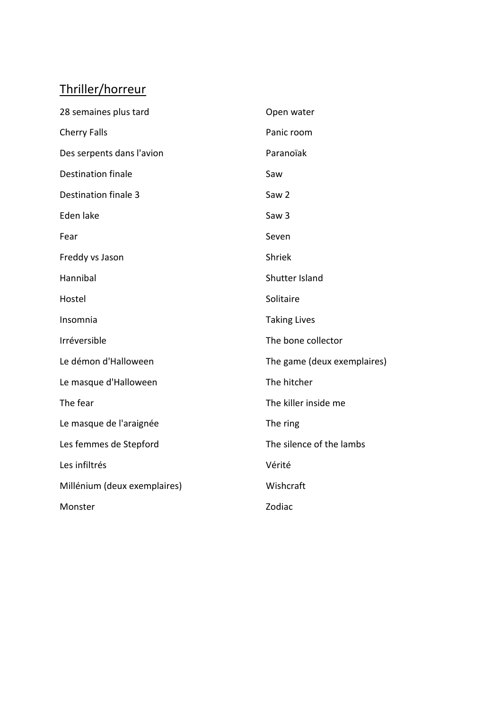# Thriller/horreur

| 28 semaines plus tard        | Open water                  |
|------------------------------|-----------------------------|
| <b>Cherry Falls</b>          | Panic room                  |
| Des serpents dans l'avion    | Paranoïak                   |
| <b>Destination finale</b>    | Saw                         |
| Destination finale 3         | Saw <sub>2</sub>            |
| Eden lake                    | Saw <sub>3</sub>            |
| Fear                         | Seven                       |
| Freddy vs Jason              | Shriek                      |
| Hannibal                     | Shutter Island              |
| Hostel                       | Solitaire                   |
| Insomnia                     | <b>Taking Lives</b>         |
| Irréversible                 | The bone collector          |
| Le démon d'Halloween         | The game (deux exemplaires) |
| Le masque d'Halloween        | The hitcher                 |
| The fear                     | The killer inside me        |
| Le masque de l'araignée      | The ring                    |
| Les femmes de Stepford       | The silence of the lambs    |
| Les infiltrés                | Vérité                      |
| Millénium (deux exemplaires) | Wishcraft                   |
| Monster                      | Zodiac                      |